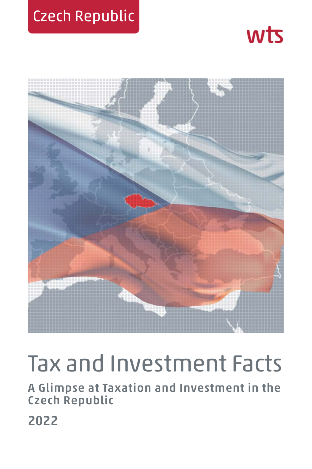## Czech Republic





# Tax and Investment Facts

**A Glimpse at Taxation and Investment in the Czech Republic**

**2022**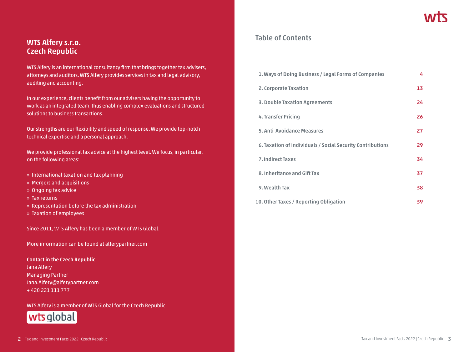### **WTS Alfery s.r.o. Czech Republic**

WTS Alfery is an international consultancy firm that brings together tax advisers, attorneys and auditors. WTS Alfery provides services in tax and legal advisory, auditing and accounting.

In our experience, clients benefit from our advisers having the opportunity to work as an integrated team, thus enabling complex evaluations and structured solutions to business transactions.

Our strengths are our flexibility and speed of response. We provide top-notch technical expertise and a personal approach.

We provide professional tax advice at the highest level. We focus, in particular, on the following areas:

- » International taxation and tax planning
- » Mergers and acquisitions
- » Ongoing tax advice
- » Tax returns
- » Representation before the tax administration
- » Taxation of employees

Since 2011, WTS Alfery has been a member of WTS Global.

More information can be found at alferypartner.com

**Contact in the Czech Republic** Jana Alfery Managing Partner Jana.Alfery@alferypartner.com + 420 221 111 777

WTS Alfery is a member of WTS Global for the Czech Republic.



### **Table of Contents**

| 1. Ways of Doing Business / Legal Forms of Companies       | 4  |
|------------------------------------------------------------|----|
| 2. Corporate Taxation                                      | 13 |
| <b>3. Double Taxation Agreements</b>                       | 24 |
| 4. Transfer Pricing                                        | 26 |
| 5. Anti-Avoidance Measures                                 | 27 |
| 6. Taxation of Individuals / Social Security Contributions | 29 |
| <b>7. Indirect Taxes</b>                                   | 34 |
| 8. Inheritance and Gift Tax                                | 37 |
| 9. Wealth Tax                                              | 38 |
| 10. Other Taxes / Reporting Obligation                     | 39 |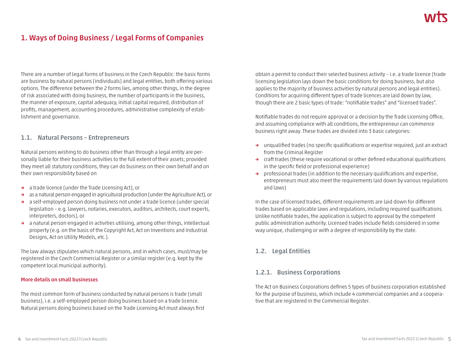## **1. Ways of Doing Business / Legal Forms of Companies**

There are a number of legal forms of business in the Czech Republic: the basic forms are business by natural persons (individuals) and legal entities, both offering various options. The difference between the 2 forms lies, among other things, in the degree of risk associated with doing business, the number of participants in the business, the manner of exposure, capital adequacy, initial capital required, distribution of profits, management, accounting procedures, administrative complexity of establishment and governance.

#### **1.1. Natural Persons – Entrepreneurs**

Natural persons wishing to do business other than through a legal entity are personally liable for their business activities to the full extent of their assets; provided they meet all statutory conditions, they can do business on their own behalf and on their own responsibility based on

- **→** a trade licence (under the Trade Licensing Act), or
- **→** as a natural person engaged in agricultural production (under the Agriculture Act), or
- **→** a self-employed person doing business not under a trade licence (under special legislation – e.g. lawyers, notaries, executors, auditors, architects, court experts, interpreters, doctors), or
- **→** a natural person engaged in activities utilising, among other things, intellectual property (e.g. on the basis of the Copyright Act, Act on Inventions and Industrial Designs, Act on Utility Models, etc.).

The law always stipulates which natural persons, and in which cases, must/may be registered in the Czech Commercial Register or a similar register (e.g. kept by the competent local municipal authority).

#### **More details on small businesses**

The most common form of business conducted by natural persons is trade (small business), i.e. a self-employed person doing business based on a trade licence. Natural persons doing business based on the Trade Licensing Act must always first obtain a permit to conduct their selected business activity – i.e. a trade licence (trade licensing legislation lays down the basic conditions for doing business, but also applies to the majority of business activities by natural persons and legal entities). Conditions for acquiring different types of trade licences are laid down by law, though there are 2 basic types of trade: "notifiable trades" and "licensed trades".

Notifiable trades do not require approval or a decision by the Trade Licensing Office, and assuming compliance with all conditions, the entrepreneur can commence business right away. These trades are divided into 3 basic categories:

- **→** unqualified trades (no specific qualifications or expertise required, just an extract from the Criminal Register
- **→** craft trades (these require vocational or other defined educational qualifications in the specific field or professional experience)
- **→** professional trades (in addition to the necessary qualifications and expertise, entrepreneurs must also meet the requirements laid down by various regulations and laws)

In the case of licensed trades, different requirements are laid down for different trades based on applicable laws and regulations, including required qualifications. Unlike notifiable trades, the application is subject to approval by the competent public administration authority. Licensed trades include fields considered in some way unique, challenging or with a degree of responsibility by the state.

#### **1.2. Legal Entities**

#### **1.2.1. Business Corporations**

The Act on Business Corporations defines 5 types of business corporation established for the purpose of business, which include 4 commercial companies and a cooperative that are registered in the Commercial Register.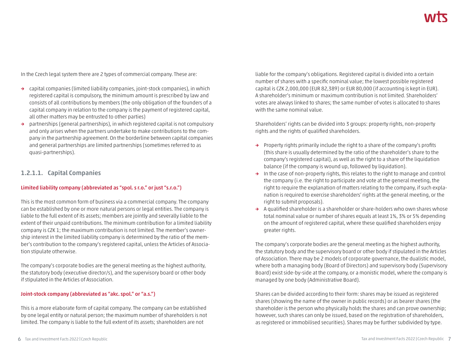In the Czech legal system there are 2 types of commercial company. These are:

- **→** capital companies (limited liability companies, joint-stock companies), in which registered capital is compulsory, the minimum amount is prescribed by law and consists of all contributions by members (the only obligation of the founders of a capital company in relation to the company is the payment of registered capital, all other matters may be entrusted to other parties)
- **→** partnerships (general partnerships), in which registered capital is not compulsory and only arises when the partners undertake to make contributions to the company in the partnership agreement. On the borderline between capital companies and general partnerships are limited partnerships (sometimes referred to as quasi-partnerships).

#### **1.2.1.1. Capital Companies**

#### **Limited liability company (abbreviated as "spol. s r.o." or just "s.r.o.")**

This is the most common form of business via a commercial company. The company can be established by one or more natural persons or legal entities. The company is liable to the full extent of its assets; members are jointly and severally liable to the extent of their unpaid contributions. The minimum contribution for a limited liability company is CZK 1; the maximum contribution is not limited. The member's ownership interest in the limited liability company is determined by the ratio of the member's contribution to the company's registered capital, unless the Articles of Association stipulate otherwise.

The company's corporate bodies are the general meeting as the highest authority, the statutory body (executive director/s), and the supervisory board or other body if stipulated in the Articles of Association.

#### **Joint-stock company (abbreviated as "akc. spol." or "a.s.")**

This is a more elaborate form of capital company. The company can be established by one legal entity or natural person; the maximum number of shareholders is not limited. The company is liable to the full extent of its assets; shareholders are not

liable for the company's obligations. Registered capital is divided into a certain number of shares with a specific nominal value; the lowest possible registered capital is CZK 2,000,000 (EUR 82,389) or EUR 80,000 (if accounting is kept in EUR). A shareholder's minimum or maximum contribution is not limited. Shareholders' votes are always linked to shares; the same number of votes is allocated to shares with the same nominal value.

Shareholders' rights can be divided into 3 groups: property rights, non-property rights and the rights of qualified shareholders.

- **→** Property rights primarily include the right to a share of the company's profits (this share is usually determined by the ratio of the shareholder's share to the company's registered capital), as well as the right to a share of the liquidation balance (if the company is wound up, followed by liquidation).
- **→** In the case of non-property rights, this relates to the right to manage and control the company (i.e. the right to participate and vote at the general meeting, the right to require the explanation of matters relating to the company, if such explanation is required to exercise shareholders' rights at the general meeting, or the right to submit proposals).
- **→** A qualified shareholder is a shareholder or share-holders who own shares whose total nominal value or number of shares equals at least 1%, 3% or 5% depending on the amount of registered capital, where these qualified shareholders enjoy greater rights.

The company's corporate bodies are the general meeting as the highest authority, the statutory body and the supervisory board or other body if stipulated in the Articles of Association. There may be 2 models of corporate governance, the dualistic model, where both a managing body (Board of Directors) and supervisory body (Supervisory Board) exist side-by-side at the company, or a monistic model, where the company is managed by one body (Administrative Board).

Shares can be divided according to their form: shares may be issued as registered shares (showing the name of the owner in public records) or as bearer shares (the shareholder is the person who physically holds the shares and can prove ownership; however, such shares can only be issued, based on the registration of shareholders, as registered or immobilised securities). Shares may be further subdivided by type.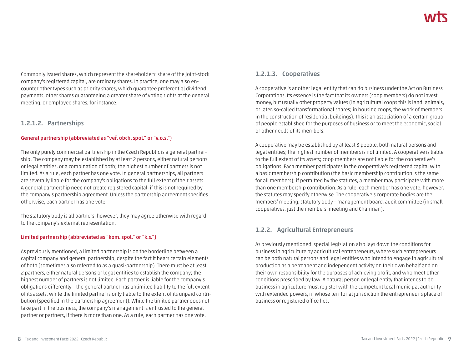Commonly issued shares, which represent the shareholders' share of the joint-stock company's registered capital, are ordinary shares. In practice, one may also encounter other types such as priority shares, which guarantee preferential dividend payments, other shares guaranteeing a greater share of voting rights at the general meeting, or employee shares, for instance.

#### **1.2.1.2. Partnerships**

#### **General partnership (abbreviated as "veř. obch. spol." or "v.o.s.")**

The only purely commercial partnership in the Czech Republic is a general partnership. The company may be established by at least 2 persons, either natural persons or legal entities, or a combination of both; the highest number of partners is not limited. As a rule, each partner has one vote. In general partnerships, all partners are severally liable for the company's obligations to the full extent of their assets. A general partnership need not create registered capital, if this is not required by the company's partnership agreement. Unless the partnership agreement specifies otherwise, each partner has one vote.

The statutory body is all partners, however, they may agree otherwise with regard to the company's external representation.

#### **Limited partnership (abbreviated as "kom. spol." or "k.s.")**

As previously mentioned, a limited partnership is on the borderline between a capital company and general partnership, despite the fact it bears certain elements of both (sometimes also referred to as a quasi-partnership). There must be at least 2 partners, either natural persons or legal entities to establish the company; the highest number of partners is not limited. Each partner is liable for the company's obligations differently – the general partner has unlimited liability to the full extent of its assets, while the limited partner is only liable to the extent of its unpaid contribution (specified in the partnership agreement). While the limited partner does not take part in the business, the company's management is entrusted to the general partner or partners, if there is more than one. As a rule, each partner has one vote.

#### **1.2.1.3. Cooperatives**

A cooperative is another legal entity that can do business under the Act on Business Corporations. Its essence is the fact that its owners (coop members) do not invest money, but usually other property values (in agricultural coops this is land, animals, or later, so-called transformational shares; in housing coops, the work of members in the construction of residential buildings). This is an association of a certain group of people established for the purposes of business or to meet the economic, social or other needs of its members.

A cooperative may be established by at least 3 people, both natural persons and legal entities; the highest number of members is not limited. A cooperative is liable to the full extent of its assets; coop members are not liable for the cooperative's obligations. Each member participates in the cooperative's registered capital with a basic membership contribution (the basic membership contribution is the same for all members); if permitted by the statutes, a member may participate with more than one membership contribution. As a rule, each member has one vote, however, the statutes may specify otherwise. The cooperative's corporate bodies are the members' meeting, statutory body – management board, audit committee (in small cooperatives, just the members' meeting and Chairman).

### **1.2.2. Agricultural Entrepreneurs**

As previously mentioned, special legislation also lays down the conditions for business in agriculture by agricultural entrepreneurs, where such entrepreneurs can be both natural persons and legal entities who intend to engage in agricultural production as a permanent and independent activity on their own behalf and on their own responsibility for the purposes of achieving profit, and who meet other conditions prescribed by law. A natural person or legal entity that intends to do business in agriculture must register with the competent local municipal authority with extended powers, in whose territorial jurisdiction the entrepreneur's place of business or registered office lies.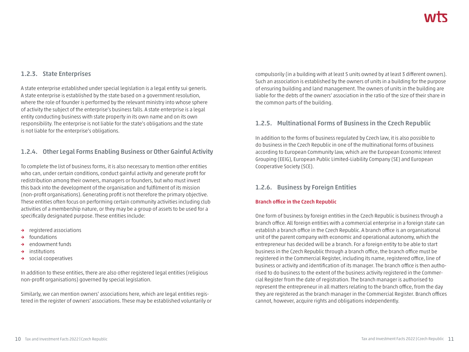#### **1.2.3. State Enterprises**

A state enterprise established under special legislation is a legal entity sui generis. A state enterprise is established by the state based on a government resolution, where the role of founder is performed by the relevant ministry into whose sphere of activity the subject of the enterprise's business falls. A state enterprise is a legal entity conducting business with state property in its own name and on its own responsibility. The enterprise is not liable for the state's obligations and the state is not liable for the enterprise's obligations.

#### **1.2.4. Other Legal Forms Enabling Business or Other Gainful Activity**

To complete the list of business forms, it is also necessary to mention other entities who can, under certain conditions, conduct gainful activity and generate profit for redistribution among their owners, managers or founders, but who must invest this back into the development of the organisation and fulfilment of its mission (non-profit organisations). Generating profit is not therefore the primary objective. These entities often focus on performing certain community activities including club activities of a membership nature, or they may be a group of assets to be used for a specifically designated purpose. These entities include:

- **→** registered associations
- **→** foundations
- **→** endowment funds
- **→** institutions
- **→** social cooperatives

In addition to these entities, there are also other registered legal entities (religious non-profit organisations) governed by special legislation.

Similarly, we can mention owners' associations here, which are legal entities registered in the register of owners' associations. These may be established voluntarily or compulsorily (in a building with at least 5 units owned by at least 3 different owners). Such an association is established by the owners of units in a building for the purpose of ensuring building and land management. The owners of units in the building are liable for the debts of the owners' association in the ratio of the size of their share in the common parts of the building.

#### **1.2.5. Multinational Forms of Business in the Czech Republic**

In addition to the forms of business regulated by Czech law, it is also possible to do business in the Czech Republic in one of the multinational forms of business according to European Community law, which are the European Economic Interest Grouping (EEIG), European Public Limited-Liability Company (SE) and European Cooperative Society (SCE).

#### **1.2.6. Business by Foreign Entities**

#### **Branch office in the Czech Republic**

One form of business by foreign entities in the Czech Republic is business through a branch office. All foreign entities with a commercial enterprise in a foreign state can establish a branch office in the Czech Republic. A branch office is an organisational unit of the parent company with economic and operational autonomy, which the entrepreneur has decided will be a branch. For a foreign entity to be able to start business in the Czech Republic through a branch office, the branch office must be registered in the Commercial Register, including its name, registered office, line of business or activity and identification of its manager. The branch office is then authorised to do business to the extent of the business activity registered in the Commercial Register from the date of registration. The branch manager is authorised to represent the entrepreneur in all matters relating to the branch office, from the day they are registered as the branch manager in the Commercial Register. Branch offices cannot, however, acquire rights and obligations independently.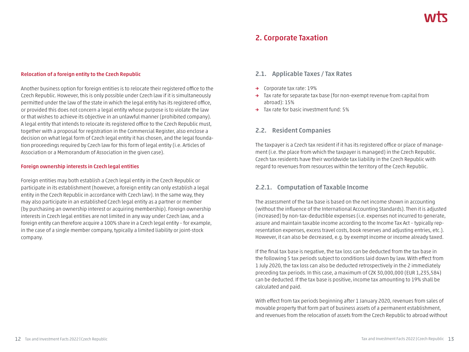### **2. Corporate Taxation**

#### **Relocation of a foreign entity to the Czech Republic**

Another business option for foreign entities is to relocate their registered office to the Czech Republic. However, this is only possible under Czech law if it is simultaneously permitted under the law of the state in which the legal entity has its registered office, or provided this does not concern a legal entity whose purpose is to violate the law or that wishes to achieve its objective in an unlawful manner (prohibited company). A legal entity that intends to relocate its registered office to the Czech Republic must, together with a proposal for registration in the Commercial Register, also enclose a decision on what legal form of Czech legal entity it has chosen, and the legal foundation proceedings required by Czech law for this form of legal entity (i.e. Articles of Association or a Memorandum of Association in the given case).

#### **Foreign ownership interests in Czech legal entities**

Foreign entities may both establish a Czech legal entity in the Czech Republic or participate in its establishment (however, a foreign entity can only establish a legal entity in the Czech Republic in accordance with Czech law). In the same way, they may also participate in an established Czech legal entity as a partner or member (by purchasing an ownership interest or acquiring membership). Foreign ownership interests in Czech legal entities are not limited in any way under Czech law, and a foreign entity can therefore acquire a 100% share in a Czech legal entity – for example, in the case of a single member company, typically a limited liability or joint-stock company.

#### **2.1. Applicable Taxes / Tax Rates**

- **→** Corporate tax rate: 19%
- **→** Tax rate for separate tax base (for non-exempt revenue from capital from abroad): 15%
- **→** Tax rate for basic investment fund: 5%

#### **2.2. Resident Companies**

The taxpayer is a Czech tax resident if it has its registered office or place of management (i.e. the place from which the taxpayer is managed) in the Czech Republic. Czech tax residents have their worldwide tax liability in the Czech Republic with regard to revenues from resources within the territory of the Czech Republic.

#### **2.2.1. Computation of Taxable Income**

The assessment of the tax base is based on the net income shown in accounting (without the influence of the International Accounting Standards). Then it is adjusted (increased) by non-tax-deductible expenses (i.e. expenses not incurred to generate, assure and maintain taxable income according to the Income Tax Act – typically representation expenses, excess travel costs, book reserves and adjusting entries, etc.). However, it can also be decreased, e.g. by exempt income or income already taxed.

If the final tax base is negative, the tax loss can be deducted from the tax base in the following 5 tax periods subject to conditions laid down by law. With effect from 1 July 2020, the tax loss can also be deducted retrospectively in the 2 immediately preceding tax periods. In this case, a maximum of CZK 30,000,000 (EUR 1,235,584) can be deducted. If the tax base is positive, income tax amounting to 19% shall be calculated and paid.

With effect from tax periods beginning after 1 January 2020, revenues from sales of movable property that form part of business assets of a permanent establishment, and revenues from the relocation of assets from the Czech Republic to abroad without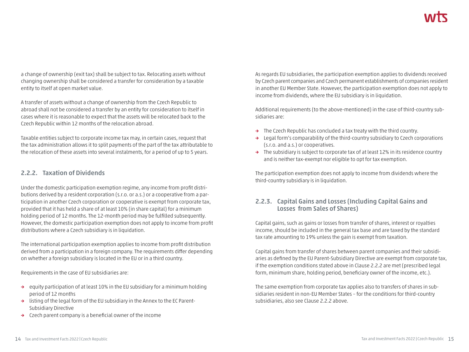a change of ownership (exit tax) shall be subject to tax. Relocating assets without changing ownership shall be considered a transfer for consideration by a taxable entity to itself at open market value.

A transfer of assets without a change of ownership from the Czech Republic to abroad shall not be considered a transfer by an entity for consideration to itself in cases where it is reasonable to expect that the assets will be relocated back to the Czech Republic within 12 months of the relocation abroad.

Taxable entities subject to corporate income tax may, in certain cases, request that the tax administration allows it to split payments of the part of the tax attributable to the relocation of these assets into several instalments, for a period of up to 5 years.

#### **2.2.2. Taxation of Dividends**

Under the domestic participation exemption regime, any income from profit distributions derived by a resident corporation (s.r.o. or a.s.) or a cooperative from a participation in another Czech corporation or cooperative is exempt from corporate tax, provided that it has held a share of at least 10% (in share capital) for a minimum holding period of 12 months. The 12-month period may be fulfilled subsequently. However, the domestic participation exemption does not apply to income from profit distributions where a Czech subsidiary is in liquidation.

The international participation exemption applies to income from profit distribution derived from a participation in a foreign company. The requirements differ depending on whether a foreign subsidiary is located in the EU or in a third country.

Requirements in the case of EU subsidiaries are:

- **→** equity participation of at least 10% in the EU subsidiary for a minimum holding period of 12 months
- **→** listing of the legal form of the EU subsidiary in the Annex to the EC Parent-Subsidiary Directive
- **→** Czech parent company is a beneficial owner of the income

As regards EU subsidiaries, the participation exemption applies to dividends received by Czech parent companies and Czech permanent establishments of companies resident in another EU Member State. However, the participation exemption does not apply to income from dividends, where the EU subsidiary is in liquidation.

Additional requirements (to the above-mentioned) in the case of third-country subsidiaries are:

- **→** The Czech Republic has concluded a tax treaty with the third country.
- **→** Legal form's comparability of the third-country subsidiary to Czech corporations (s.r.o. and a.s.) or cooperatives.
- **→** The subsidiary is subject to corporate tax of at least 12% in its residence country and is neither tax-exempt nor eligible to opt for tax exemption.

The participation exemption does not apply to income from dividends where the third-country subsidiary is in liquidation.

### **2.2.3. Capital Gains and Losses (Including Capital Gains and Losses from Sales of Shares)**

Capital gains, such as gains or losses from transfer of shares, interest or royalties income, should be included in the general tax base and are taxed by the standard tax rate amounting to 19% unless the gain is exempt from taxation.

Capital gains from transfer of shares between parent companies and their subsidiaries as defined by the EU Parent-Subsidiary Directive are exempt from corporate tax, if the exemption conditions stated above in Clause 2.2.2 are met (prescribed legal form, minimum share, holding period, beneficiary owner of the income, etc.).

The same exemption from corporate tax applies also to transfers of shares in subsidiaries resident in non-EU Member States – for the conditions for third-country subsidiaries, also see Clause 2.2.2 above.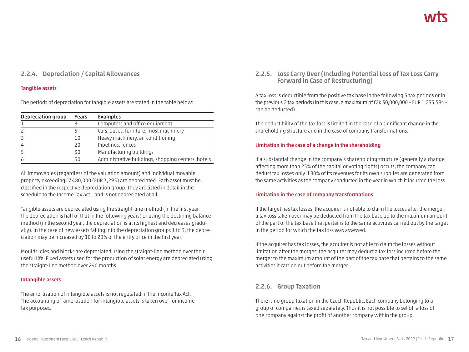#### **2.2.4. Depreciation / Capital Allowances**

#### **Tangible assets**

The periods of depreciation for tangible assets are stated in the table below:

| Depreciation group | Years | <b>Examples</b>                                    |
|--------------------|-------|----------------------------------------------------|
|                    |       | Computers and office equipment                     |
|                    |       | Cars, buses, furniture, most machinery             |
|                    | 1 ()  | Heavy machinery, air conditioning                  |
|                    | 20    | Pipelines, fences                                  |
|                    | 30    | Manufacturing buildings                            |
|                    | 50    | Administrative buildings, shopping centers, hotels |

All immovables (regardless of the valuation amount) and individual movable property exceeding CZK 80,000 (EUR 3,295) are depreciated. Each asset must be classified in the respective depreciation group. They are listed in detail in the schedule to the Income Tax Act. Land is not depreciated at all.

Tangible assets are depreciated using the straight-line method (in the first year, the depreciation is half of that in the following years) or using the declining balance method (in the second year, the depreciation is at its highest and decreases gradually). In the case of new assets falling into the depreciation groups 1 to 3, the depreciation may be increased by 10 to 20% of the entry price in the first year.

Moulds, dies and blocks are depreciated using the straight-line method over their useful life. Fixed assets used for the production of solar energy are depreciated using the straight-line method over 240 months.

#### **Intangible assets**

The amortisation of intangible assets is not regulated in the Income Tax Act. The accounting of amortisation for intangible assets is taken over for income tax purposes.

#### **2.2.5. Loss Carry Over (Including Potential Loss of Tax Loss Carry Forward in Case of Restructuring)**

A tax loss is deductible from the positive tax base in the following 5 tax periods or in the previous 2 tax periods (in this case, a maximum of CZK 30,000,000 – EUR 1,235,584 – can be deducted).

The deductibility of the tax loss is limited in the case of a significant change in the shareholding structure and in the case of company transformations.

#### **Limitation in the case of a change in the shareholding**

If a substantial change in the company's shareholding structure (generally a change affecting more than 25% of the capital or voting rights) occurs, the company can deduct tax losses only if 80% of its revenues for its own supplies are generated from the same activities as the company conducted in the year in which it incurred the loss.

#### **Limitation in the case of company transformations**

If the target has tax losses, the acquirer is not able to claim the losses after the merger: a tax loss taken over may be deducted from the tax base up to the maximum amount of the part of the tax base that pertains to the same activities carried out by the target in the period for which the tax loss was assessed.

If the acquirer has tax losses, the acquirer is not able to claim the losses without limitation after the merger: the acquirer may deduct a tax loss incurred before the merger to the maximum amount of the part of the tax base that pertains to the same activities it carried out before the merger.

#### **2.2.6. Group Taxation**

There is no group taxation in the Czech Republic. Each company belonging to a group of companies is taxed separately. Thus it is not possible to set off a loss of one company against the profit of another company within the group.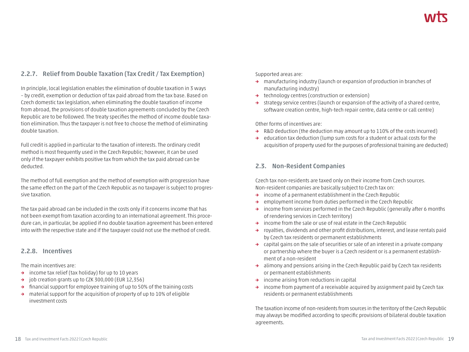### **2.2.7. Relief from Double Taxation (Tax Credit / Tax Exemption)**

In principle, local legislation enables the elimination of double taxation in 3 ways – by credit, exemption or deduction of tax paid abroad from the tax base. Based on Czech domestic tax legislation, when eliminating the double taxation of income from abroad, the provisions of double taxation agreements concluded by the Czech Republic are to be followed. The treaty specifies the method of income double taxation elimination. Thus the taxpayer is not free to choose the method of eliminating double taxation.

Full credit is applied in particular to the taxation of interests. The ordinary credit method is most frequently used in the Czech Republic; however, it can be used only if the taxpayer exhibits positive tax from which the tax paid abroad can be deducted.

The method of full exemption and the method of exemption with progression have the same effect on the part of the Czech Republic as no taxpayer is subject to progressive taxation.

The tax paid abroad can be included in the costs only if it concerns income that has not been exempt from taxation according to an international agreement. This procedure can, in particular, be applied if no double taxation agreement has been entered into with the respective state and if the taxpayer could not use the method of credit.

#### **2.2.8. Incentives**

The main incentives are:

- **→** income tax relief (tax holiday) for up to 10 years
- **→** job creation grants up to CZK 300,000 (EUR 12,356)
- **→** financial support for employee training of up to 50% of the training costs
- **→** material support for the acquisition of property of up to 10% of eligible investment costs

Supported areas are:

- **→** manufacturing industry (launch or expansion of production in branches of manufacturing industry)
- **→** technology centres (construction or extension)
- **→** strategy service centres (launch or expansion of the activity of a shared centre, software creation centre, high-tech repair centre, data centre or call centre)

Other forms of incentives are:

- **→** R&D deduction (the deduction may amount up to 110% of the costs incurred)
- **→** education tax deduction (lump sum costs for a student or actual costs for the acquisition of property used for the purposes of professional training are deducted)

#### **2.3. Non-Resident Companies**

Czech tax non-residents are taxed only on their income from Czech sources. Non-resident companies are basically subject to Czech tax on:

- **→** income of a permanent establishment in the Czech Republic
- **→** employment income from duties performed in the Czech Republic
- **→** income from services performed in the Czech Republic (generally after 6 months of rendering services in Czech territory)
- **→** income from the sale or use of real estate in the Czech Republic
- **→** royalties, dividends and other profit distributions, interest, and lease rentals paid by Czech tax residents or permanent establishments
- **→** capital gains on the sale of securities or sale of an interest in a private company or partnership where the buyer is a Czech resident or is a permanent establishment of a non-resident
- **→** alimony and pensions arising in the Czech Republic paid by Czech tax residents or permanent establishments
- **→** income arising from reductions in capital
- **→** income from payment of a receivable acquired by assignment paid by Czech tax residents or permanent establishments

The taxation income of non-residents from sources in the territory of the Czech Republic may always be modified according to specific provisions of bilateral double taxation agreements.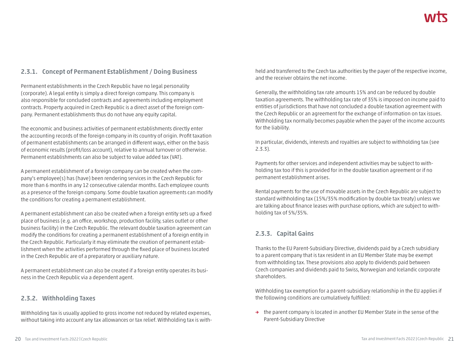#### **2.3.1. Concept of Permanent Establishment / Doing Business**

Permanent establishments in the Czech Republic have no legal personality (corporate). A legal entity is simply a direct foreign company. This company is also responsible for concluded contracts and agreements including employment contracts. Property acquired in Czech Republic is a direct asset of the foreign company. Permanent establishments thus do not have any equity capital.

The economic and business activities of permanent establishments directly enter the accounting records of the foreign company in its country of origin. Profit taxation of permanent establishments can be arranged in different ways, either on the basis of economic results (profit/loss account), relative to annual turnover or otherwise. Permanent establishments can also be subject to value added tax (VAT).

A permanent establishment of a foreign company can be created when the company's employee(s) has (have) been rendering services in the Czech Republic for more than 6 months in any 12 consecutive calendar months. Each employee counts as a presence of the foreign company. Some double taxation agreements can modify the conditions for creating a permanent establishment.

A permanent establishment can also be created when a foreign entity sets up a fixed place of business (e.g. an office, workshop, production facility, sales outlet or other business facility) in the Czech Republic. The relevant double taxation agreement can modify the conditions for creating a permanent establishment of a foreign entity in the Czech Republic. Particularly it may eliminate the creation of permanent establishment when the activities performed through the fixed place of business located in the Czech Republic are of a preparatory or auxiliary nature.

A permanent establishment can also be created if a foreign entity operates its business in the Czech Republic via a dependent agent.

#### **2.3.2. Withholding Taxes**

Withholding tax is usually applied to gross income not reduced by related expenses, without taking into account any tax allowances or tax relief. Withholding tax is withheld and transferred to the Czech tax authorities by the payer of the respective income, and the receiver obtains the net income.

Generally, the withholding tax rate amounts 15% and can be reduced by double taxation agreements. The withholding tax rate of 35% is imposed on income paid to entities of jurisdictions that have not concluded a double taxation agreement with the Czech Republic or an agreement for the exchange of information on tax issues. Withholding tax normally becomes payable when the payer of the income accounts for the liability.

In particular, dividends, interests and royalties are subject to withholding tax (see 2.3.3).

Payments for other services and independent activities may be subject to withholding tax too if this is provided for in the double taxation agreement or if no permanent establishment arises.

Rental payments for the use of movable assets in the Czech Republic are subject to standard withholding tax (15%/35% modification by double tax treaty) unless we are talking about finance leases with purchase options, which are subject to withholding tax of 5%/35%.

#### **2.3.3. Capital Gains**

Thanks to the EU Parent-Subsidiary Directive, dividends paid by a Czech subsidiary to a parent company that is tax resident in an EU Member State may be exempt from withholding tax. These provisions also apply to dividends paid between Czech companies and dividends paid to Swiss, Norwegian and Icelandic corporate shareholders.

Withholding tax exemption for a parent-subsidiary relationship in the EU applies if the following conditions are cumulatively fulfilled:

**→** the parent company is located in another EU Member State in the sense of the Parent-Subsidiary Directive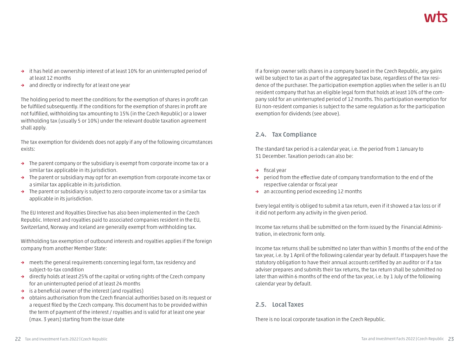- **→** it has held an ownership interest of at least 10% for an uninterrupted period of at least 12 months
- **→** and directly or indirectly for at least one year

The holding period to meet the conditions for the exemption of shares in profit can be fulfilled subsequently. If the conditions for the exemption of shares in profit are not fulfilled, withholding tax amounting to 15% (in the Czech Republic) or a lower withholding tax (usually 5 or 10%) under the relevant double taxation agreement shall apply.

The tax exemption for dividends does not apply if any of the following circumstances exists:

- **→** The parent company or the subsidiary is exempt from corporate income tax or a similar tax applicable in its jurisdiction.
- **→** The parent or subsidiary may opt for an exemption from corporate income tax or a similar tax applicable in its jurisdiction.
- **→** The parent or subsidiary is subject to zero corporate income tax or a similar tax applicable in its jurisdiction.

The EU Interest and Royalties Directive has also been implemented in the Czech Republic. Interest and royalties paid to associated companies resident in the EU, Switzerland, Norway and Iceland are generally exempt from withholding tax.

Withholding tax exemption of outbound interests and royalties applies if the foreign company from another Member State:

- **→** meets the general requirements concerning legal form, tax residency and subject-to-tax condition
- **→** directly holds at least 25% of the capital or voting rights of the Czech company for an uninterrupted period of at least 24 months
- **→** is a beneficial owner of the interest (and royalties)
- **→** obtains authorisation from the Czech financial authorities based on its request or a request filed by the Czech company. This document has to be provided within the term of payment of the interest / royalties and is valid for at least one year (max. 3 years) starting from the issue date

If a foreign owner sells shares in a company based in the Czech Republic, any gains will be subject to tax as part of the aggregated tax base, regardless of the tax residence of the purchaser. The participation exemption applies when the seller is an EU resident company that has an eligible legal form that holds at least 10% of the company sold for an uninterrupted period of 12 months. This participation exemption for EU non-resident companies is subject to the same regulation as for the participation exemption for dividends (see above).

#### **2.4. Tax Compliance**

The standard tax period is a calendar year, i.e. the period from 1 January to 31 December. Taxation periods can also be:

- **→** fiscal year
- **→** period from the effective date of company transformation to the end of the respective calendar or fiscal year
- **→** an accounting period exceeding 12 months

Every legal entity is obliged to submit a tax return, even if it showed a tax loss or if it did not perform any activity in the given period.

Income tax returns shall be submitted on the form issued by the Financial Administration, in electronic form only.

Income tax returns shall be submitted no later than within 3 months of the end of the tax year, i.e. by 1 April of the following calendar year by default. If taxpayers have the statutory obligation to have their annual accounts certified by an auditor or if a tax adviser prepares and submits their tax returns, the tax return shall be submitted no later than within 6 months of the end of the tax year, i.e. by 1 July of the following calendar year by default.

### **2.5. Local Taxes**

There is no local corporate taxation in the Czech Republic.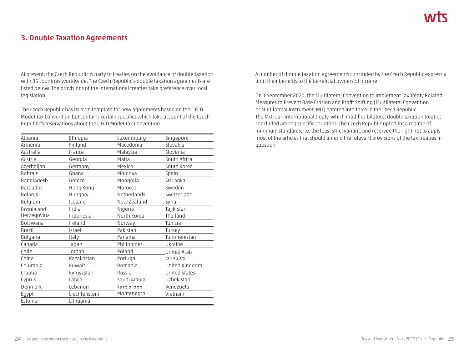### **3. Double Taxation Agreements**

At present, the Czech Republic is party to treaties on the avoidance of double taxation with 85 countries worldwide. The Czech Republic's double taxation agreements are listed below. The provisions of the international treaties take preference over local legislation.

The Czech Republic has its own template for new agreements based on the OECD Model Tax Convention but contains certain specifics which take account of the Czech Republic's reservations about the OECD Model Tax Convention.

| Albania         | Ethiopia      | Luxembourg   | Singapore            |
|-----------------|---------------|--------------|----------------------|
| Armenia         | Finland       | Macedonia    | Slovakia             |
| Australia       | France        | Malaysia     | Slovenia             |
| Austria         | Georgia       | Malta        | South Africa         |
| Azerbaijan      | Germany       | Mexico       | South Korea          |
| Bahrain         | Ghana         | Moldova      | Spain                |
| Bangladesh      | Greece        | Mongolia     | Sri Lanka            |
| Barbados        | Hong Kong     | Могоссо      | Sweden               |
| Belarus         | Hungary       | Netherlands  | Switzerland          |
| Belgium         | Iceland       | New Zealand  | Syria                |
| Bosnia and      | India         | Nigeria      | Tajikistan           |
| Herzegovina     | Indonesia     | North Korea  | Thailand             |
| <b>Botswana</b> | Ireland       | Norway       | Tunisia              |
| Brazil          | Israel        | Pakistan     | Turkey               |
| Bulgaria        | Italy         | Panama       | Turkmenistan         |
| Canada          | Japan         | Philippines  | Ukraine              |
| Chile           | Jordan        | Poland       | United Arab          |
| China           | Kazakhstan    | Portugal     | Emirates             |
| Columbia        | Kuwait        | Romania      | United Kingdom       |
| Croatia         | Kyrgyzstan    | Russia       | <b>United States</b> |
| Cyprus          | Latvia        | Saudi Arabia | Uzbekistan           |
| Denmark         | Lebanon       | Serbia and   | Venezuela            |
| Egypt           | Liechtenstein | Montenegro   | Vietnam              |
| Estonia         | Lithuania     |              |                      |

A number of double taxation agreements concluded by the Czech Republic expressly limit their benefits to the beneficial owners of income.

On 1 September 2020, the Multilateral Convention to Implement Tax Treaty Related Measures to Prevent Base Erosion and Profit Shifting (Multilateral Convention or Multilateral Instrument, MLI) entered into force in the Czech Republic. The MLI is an international treaty, which modifies bilateral double taxation treaties concluded among specific countries. The Czech Republic opted for a regime of minimum standards, i.e. the least strict variant, and reserved the right not to apply most of the articles that should amend the relevant provisions of the tax treaties in question.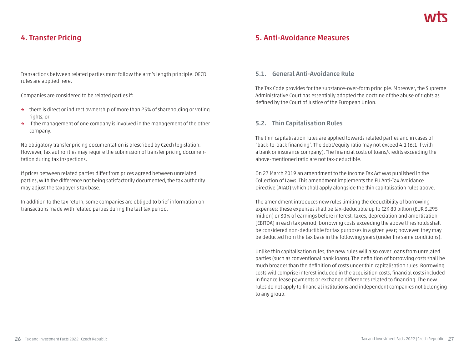### **4. Transfer Pricing**

Transactions between related parties must follow the arm's length principle. OECD rules are applied here.

Companies are considered to be related parties if:

- **→** there is direct or indirect ownership of more than 25% of shareholding or voting rights, or
- **→** if the management of one company is involved in the management of the other company.

No obligatory transfer pricing documentation is prescribed by Czech legislation. However, tax authorities may require the submission of transfer pricing documentation during tax inspections.

If prices between related parties differ from prices agreed between unrelated parties, with the difference not being satisfactorily documented, the tax authority may adjust the taxpayer's tax base.

In addition to the tax return, some companies are obliged to brief information on transactions made with related parties during the last tax period.

### **5. Anti-Avoidance Measures**

#### **5.1. General Anti-Avoidance Rule**

The Tax Code provides for the substance-over-form principle. Moreover, the Supreme Administrative Court has essentially adopted the doctrine of the abuse of rights as defined by the Court of Justice of the European Union.

#### **5.2. Thin Capitalisation Rules**

The thin capitalisation rules are applied towards related parties and in cases of "back-to-back financing". The debt/equity ratio may not exceed 4:1 (6:1 if with a bank or insurance company). The financial costs of loans/credits exceeding the above-mentioned ratio are not tax-deductible.

On 27 March 2019 an amendment to the Income Tax Act was published in the Collection of Laws. This amendment implements the EU Anti-Tax Avoidance Directive (ATAD) which shall apply alongside the thin capitalisation rules above.

The amendment introduces new rules limiting the deductibility of borrowing expenses: these expenses shall be tax-deductible up to CZK 80 billion (EUR 3.295 million) or 30% of earnings before interest, taxes, depreciation and amortisation (EBITDA) in each tax period; borrowing costs exceeding the above thresholds shall be considered non-deductible for tax purposes in a given year; however, they may be deducted from the tax base in the following years (under the same conditions).

Unlike thin capitalisation rules, the new rules will also cover loans from unrelated parties (such as conventional bank loans). The definition of borrowing costs shall be much broader than the definition of costs under thin capitalisation rules. Borrowing costs will comprise interest included in the acquisition costs, financial costs included in finance lease payments or exchange differences related to financing. The new rules do not apply to financial institutions and independent companies not belonging to any group.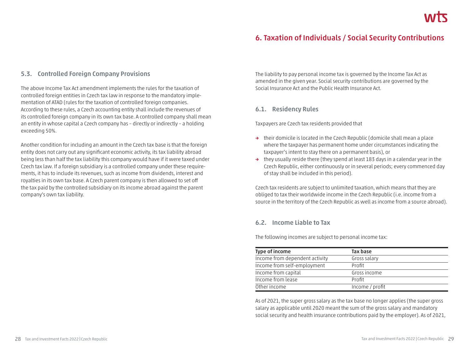### **6. Taxation of Individuals / Social Security Contributions**

#### **5.3. Controlled Foreign Company Provisions**

The above Income Tax Act amendment implements the rules for the taxation of controlled foreign entities in Czech tax law in response to the mandatory implementation of ATAD (rules for the taxation of controlled foreign companies. According to these rules, a Czech accounting entity shall include the revenues of its controlled foreign company in its own tax base. A controlled company shall mean an entity in whose capital a Czech company has – directly or indirectly – a holding exceeding 50%.

Another condition for including an amount in the Czech tax base is that the foreign entity does not carry out any significant economic activity, its tax liability abroad being less than half the tax liability this company would have if it were taxed under Czech tax law. If a foreign subsidiary is a controlled company under these requirements, it has to include its revenues, such as income from dividends, interest and royalties in its own tax base. A Czech parent company is then allowed to set off the tax paid by the controlled subsidiary on its income abroad against the parent company's own tax liability.

The liability to pay personal income tax is governed by the Income Tax Act as amended in the given year. Social security contributions are governed by the Social Insurance Act and the Public Health Insurance Act.

#### **6.1. Residency Rules**

Taxpayers are Czech tax residents provided that

- **→** their domicile is located in the Czech Republic (domicile shall mean a place where the taxpayer has permanent home under circumstances indicating the taxpayer's intent to stay there on a permanent basis), or
- **→** they usually reside there (they spend at least 183 days in a calendar year in the Czech Republic, either continuously or in several periods; every commenced day of stay shall be included in this period).

Czech tax residents are subject to unlimited taxation, which means that they are obliged to tax their worldwide income in the Czech Republic (i.e. income from a source in the territory of the Czech Republic as well as income from a source abroad).

#### **6.2. Income Liable to Tax**

The following incomes are subject to personal income tax:

| Type of income                 | Tax base        |
|--------------------------------|-----------------|
| Income from dependent activity | Gross salary    |
| Income from self-employment    | Profit          |
| Income from capital            | Gross income    |
| Income from lease              | Profit          |
| Other income                   | Income / profit |

As of 2021, the super gross salary as the tax base no longer applies (the super gross salary as applicable until 2020 meant the sum of the gross salary and mandatory social security and health insurance contributions paid by the employer). As of 2021,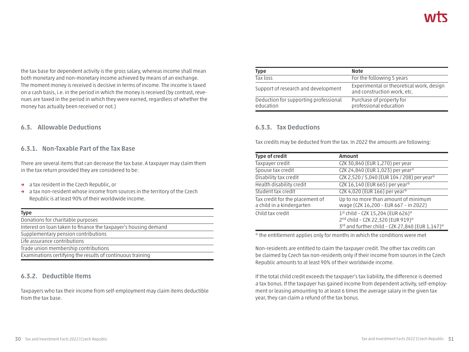the tax base for dependent activity is the gross salary, whereas income shall mean both monetary and non-monetary income achieved by means of an exchange. The moment money is received is decisive in terms of income. The income is taxed on a cash basis, i.e. in the period in which the money is received (by contrast, revenues are taxed in the period in which they were earned, regardless of whether the money has actually been received or not.)

#### **6.3. Allowable Deductions**

#### **6.3.1. Non-Taxable Part of the Tax Base**

There are several items that can decrease the tax base. A taxpayer may claim them in the tax return provided they are considered to be:

- **→** a tax resident in the Czech Republic, or
- **→** a tax non-resident whose income from sources in the territory of the Czech Republic is at least 90% of their worldwide income.

| e 1 |     |        |
|-----|-----|--------|
|     |     |        |
| w   | . . | $\sim$ |
|     |     |        |

| Donations for charitable purposes                               |
|-----------------------------------------------------------------|
| Interest on loan taken to finance the taxpayer's housing demand |
| Supplementary pension contributions                             |
| Life assurance contributions                                    |
| Trade union membership contributions                            |
| Examinations certifying the results of continuous training      |

#### **6.3.2. Deductible Items**

Taxpayers who tax their income from self-employment may claim items deductible from the tax base.

| Type                                               | <b>Note</b>                                                             |
|----------------------------------------------------|-------------------------------------------------------------------------|
| Tax loss                                           | For the following 5 years                                               |
| Support of research and development                | Experimental or theoretical work, design<br>and construction work, etc. |
| Deduction for supporting professional<br>education | Purchase of property for<br>professional education                      |

#### **6.3.3. Tax Deductions**

Tax credits may be deducted from the tax. In 2022 the amounts are following:

| <b>Type of credit</b>                                        | Amount                                                                                                                    |
|--------------------------------------------------------------|---------------------------------------------------------------------------------------------------------------------------|
| Taxpayer credit                                              | CZK 30,840 (EUR 1,270) per year                                                                                           |
| Spouse tax credit                                            | CZK 24,840 (EUR 1,023) per year*                                                                                          |
| Disability tax credit                                        | CZK 2,520 / 5,040 (EUR 104 / 208) per year*                                                                               |
| Health disability credit                                     | CZK 16,140 (EUR 665) per year*                                                                                            |
| Student tax credit                                           | CZK 4,020 (EUR 166) per year*                                                                                             |
| Tax credit for the placement of<br>a child in a kindergarten | Up to no more than amount of minimum<br>wage (CZK 16,200 - EUR 667 - in 2022)                                             |
| Child tax credit                                             | 1st child - CZK 15,204 (EUR 626)*<br>2nd child - CZK 22,320 (EUR 919)*<br>3rd and further child - CZK 27,840 (EUR 1,147)* |

\* the entitlement applies only for months in which the conditions were met

Non-residents are entitled to claim the taxpayer credit. The other tax credits can be claimed by Czech tax non-residents only if their income from sources in the Czech Republic amounts to at least 90% of their worldwide income.

If the total child credit exceeds the taxpayer's tax liability, the difference is deemed a tax bonus. If the taxpayer has gained income from dependent activity, self-employment or leasing amounting to at least 6 times the average salary in the given tax year, they can claim a refund of the tax bonus.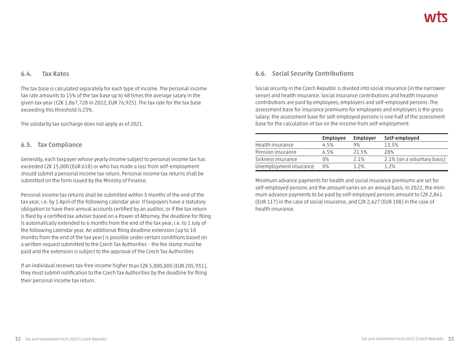#### **6.4. Tax Rates**

The tax base is calculated separately for each type of income. The personal income tax rate amounts to 15% of the tax base up to 48 times the average salary in the given tax year (CZK 1,867,728 in 2022, EUR 76,925). The tax rate for the tax base exceeding this threshold is 23%.

The solidarity tax surcharge does not apply as of 2021.

#### **6.5. Tax Compliance**

Generally, each taxpayer whose yearly income subject to personal income tax has exceeded CZK 15,000 (EUR 618) or who has made a loss from self-employment should submit a personal income tax return. Personal income tax returns shall be submitted on the form issued by the Ministry of Finance.

Personal income tax returns shall be submitted within 3 months of the end of the tax year, i.e. by 1 April of the following calendar year. If taxpayers have a statutory obligation to have their annual accounts certified by an auditor, or if the tax return is filed by a certified tax adviser based on a Power of Attorney, the deadline for filing is automatically extended to 6 months from the end of the tax year, i.e. to 1 July of the following calendar year. An additional filing deadline extension (up to 10 months from the end of the tax year) is possible under certain conditions based on a written request submitted to the Czech Tax Authorities – the fee stamp must be paid and the extension is subject to the approval of the Czech Tax Authorities.

If an individual receives tax-free income higher than CZK 5,000,000 (EUR 205,931), they must submit notification to the Czech Tax Authorities by the deadline for filing their personal income tax return.

#### **6.6. Social Security Contributions**

Social security in the Czech Republic is divided into social insurance (in the narrower sense) and health insurance. Social insurance contributions and health insurance contributions are paid by employees, employers and self-employed persons. The assessment base for insurance premiums for employees and employers is the gross salary; the assessment base for self-employed persons is one half of the assessment base for the calculation of tax on the income from self-employment.

|                        | <b>Employee</b> | <b>Employer</b> | Self-employed               |
|------------------------|-----------------|-----------------|-----------------------------|
| Health insurance       | 4.5%            | 9%              | 13.5%                       |
| Pension insurance      | 6.5%            | 21.5%           | 28%                         |
| Sickness insurance     | 0%              | 2.1%            | 2.1% (on a voluntary basis) |
| Unemployment insurance | 0%              | 1.2%            | 1.2%                        |

Minimum advance payments for health and social insurance premiums are set for self-employed persons and the amount varies on an annual basis. In 2022, the minimum advance payments to be paid by self-employed persons amount to CZK 2,841 (EUR 117) in the case of social insurance, and CZK 2,627 (EUR 108) in the case of health insurance.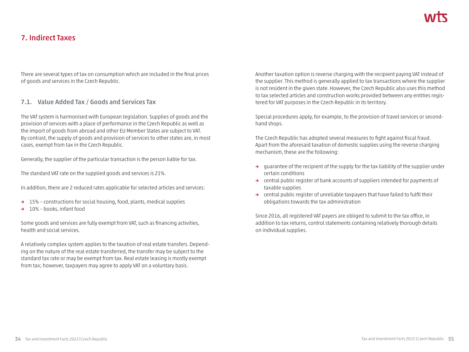### **7. Indirect Taxes**

There are several types of tax on consumption which are included in the final prices of goods and services in the Czech Republic.

#### **7.1. Value Added Tax / Goods and Services Tax**

The VAT system is harmonised with European legislation. Supplies of goods and the provision of services with a place of performance in the Czech Republic as well as the import of goods from abroad and other EU Member States are subject to VAT. By contrast, the supply of goods and provision of services to other states are, in most cases, exempt from tax in the Czech Republic.

Generally, the supplier of the particular transaction is the person liable for tax.

The standard VAT rate on the supplied goods and services is 21%.

In addition, there are 2 reduced rates applicable for selected articles and services:

- **→** 15% constructions for social housing, food, plants, medical supplies
- **→** 10% books, infant food

Some goods and services are fully exempt from VAT, such as financing activities, health and social services.

A relatively complex system applies to the taxation of real estate transfers. Depending on the nature of the real estate transferred, the transfer may be subject to the standard tax rate or may be exempt from tax. Real estate leasing is mostly exempt from tax; however, taxpayers may agree to apply VAT on a voluntary basis.

Another taxation option is reverse charging with the recipient paying VAT instead of the supplier. This method is generally applied to tax transactions where the supplier is not resident in the given state. However, the Czech Republic also uses this method to tax selected articles and construction works provided between any entities registered for VAT purposes in the Czech Republic in its territory.

Special procedures apply, for example, to the provision of travel services or secondhand shops.

The Czech Republic has adopted several measures to fight against fiscal fraud. Apart from the aforesaid taxation of domestic supplies using the reverse charging mechanism, these are the following:

- **→** guarantee of the recipient of the supply for the tax liability of the supplier under certain conditions
- **→** central public register of bank accounts of suppliers intended for payments of taxable supplies
- **→** central public register of unreliable taxpayers that have failed to fulfil their obligations towards the tax administration

Since 2016, all registered VAT payers are obliged to submit to the tax office, in addition to tax returns, control statements containing relatively thorough details on individual supplies.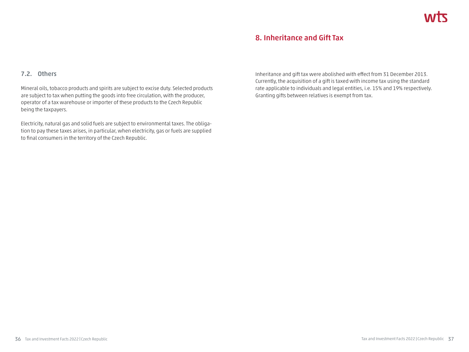### **8. Inheritance and Gift Tax**

#### **7.2. Others**

Mineral oils, tobacco products and spirits are subject to excise duty. Selected products are subject to tax when putting the goods into free circulation, with the producer, operator of a tax warehouse or importer of these products to the Czech Republic being the taxpayers.

Electricity, natural gas and solid fuels are subject to environmental taxes. The obligation to pay these taxes arises, in particular, when electricity, gas or fuels are supplied to final consumers in the territory of the Czech Republic.

Inheritance and gift tax were abolished with effect from 31 December 2013. Currently, the acquisition of a gift is taxed with income tax using the standard rate applicable to individuals and legal entities, i.e. 15% and 19% respectively. Granting gifts between relatives is exempt from tax.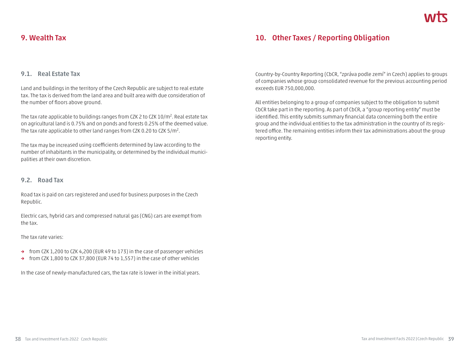### **9. Wealth Tax**

#### **9.1. Real Estate Tax**

Land and buildings in the territory of the Czech Republic are subject to real estate tax. The tax is derived from the land area and built area with due consideration of the number of floors above ground.

The tax rate applicable to buildings ranges from CZK 2 to CZK 10/m2. Real estate tax on agricultural land is 0.75% and on ponds and forests 0.25% of the deemed value. The tax rate applicable to other land ranges from CZK 0.20 to CZK 5/m<sup>2</sup>.

The tax may be increased using coefficients determined by law according to the number of inhabitants in the municipality, or determined by the individual municipalities at their own discretion.

#### **9.2. Road Tax**

Road tax is paid on cars registered and used for business purposes in the Czech Republic.

Electric cars, hybrid cars and compressed natural gas (CNG) cars are exempt from the tax.

#### The tax rate varies:

- **→** from CZK 1,200 to CZK 4,200 (EUR 49 to 173) in the case of passenger vehicles
- **→** from CZK 1,800 to CZK 37,800 (EUR 74 to 1,557) in the case of other vehicles

In the case of newly-manufactured cars, the tax rate is lower in the initial years.

Country-by-Country Reporting (CbCR, "zpráva podle zemí" in Czech) applies to groups of companies whose group consolidated revenue for the previous accounting period exceeds EUR 750,000,000.

All entities belonging to a group of companies subject to the obligation to submit CbCR take part in the reporting. As part of CbCR, a "group reporting entity" must be identified. This entity submits summary financial data concerning both the entire group and the individual entities to the tax administration in the country of its registered office. The remaining entities inform their tax administrations about the group reporting entity.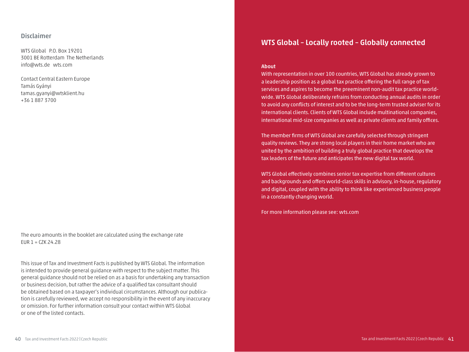#### **Disclaimer**

WTS Global P.O. Box 19201 3001 BE Rotterdam The Netherlands info@wts.de wts.com

Contact Central Eastern Europe Tamás Gyányi tamas.gyanyi@wtsklient.hu +36 1 887 3700

The euro amounts in the booklet are calculated using the exchange rate EUR  $1 = CZK 24.28$ 

This issue of Tax and Investment Facts is published by WTS Global. The information is intended to provide general guidance with respect to the subject matter. This general guidance should not be relied on as a basis for undertaking any transaction or business decision, but rather the advice of a qualified tax consultant should be obtained based on a taxpayer's individual circumstances. Although our publication is carefully reviewed, we accept no responsibility in the event of any inaccuracy or omission. For further information consult your contact within WTS Global or one of the listed contacts.

### **WTS Global – Locally rooted – Globally connected**

#### **About**

With representation in over 100 countries, WTS Global has already grown to a leadership position as a global tax practice offering the full range of tax services and aspires to become the preeminent non-audit tax practice worldwide. WTS Global deliberately refrains from conducting annual audits in order to avoid any conflicts of interest and to be the long-term trusted adviser for its international clients. Clients of WTS Global include multinational companies, international mid-size companies as well as private clients and family offices.

The member firms of WTS Global are carefully selected through stringent quality reviews. They are strong local players in their home market who are united by the ambition of building a truly global practice that develops the tax leaders of the future and anticipates the new digital tax world.

WTS Global effectively combines senior tax expertise from different cultures and backgrounds and offers world-class skills in advisory, in-house, regulatory and digital, coupled with the ability to think like experienced business people in a constantly changing world.

For more information please see: wts.com